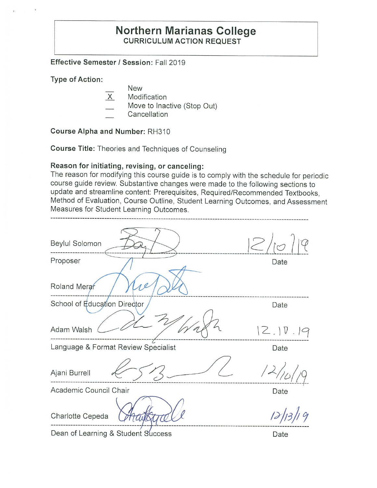# **Northern Marianas College CURRICULUM ACTION REQUEST**

**Effective Semester/ Session:** Fall 2019

**Type of Action:** 

- New
- $\overline{X}$  Modification
- Move to Inactive (Stop Out)
- Cancellation

**Course Alpha and Number:** RH310

**Course Title:** Theories and Techniques of Counseling

#### **Reason for initiating, revising, or canceling:**

The reason for modifying this course guide is to comply with the schedule for periodic course guide review. Substantive changes were made to the following sections to update and streamline content: Prerequisites, Required/Recommended Textbooks, Method of Evaluation, Course Outline, Student Learning Outcomes, and Assessment Measures for Student Learning Outcomes.

| Beylul Solomon                      |          |
|-------------------------------------|----------|
| Proposer                            | Date     |
| Roland Merar<br>O                   |          |
| School of Education Director        | Date     |
| Adam Walsh                          | 12.10.19 |
| Language & Format Review Specialist | Date     |
| Ajani Burrell                       |          |
| Academic Council Chair              | Date     |
| Charlotte Cepeda                    |          |

Dean of Learning & Student Success Date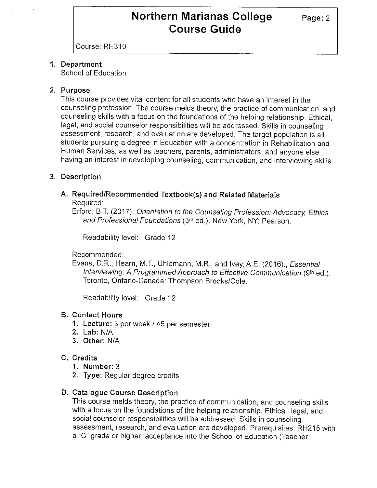Course: RH310

# **1. Department**

School of Education

### **2. Purpose**

This course provides vital content for all students who have an interest in the counseling profession. The course melds theory, the practice of communication, and counseling skills with a focus on the foundations of the helping relationship. Ethical, legal, and social counselor responsibilities will be addressed. Skills in counseling assessment, research, and evaluation are developed. The target population is all students pursuing a degree in Education with a concentration in Rehabilitation and Human Services, as well as teachers, parents, administrators, and anyone else having an interest in developing counseling, communication, and interviewing skills.

# **3. Description**

# **A. Required/Recommended Textbook(s) and Related Materials**

Required:

Erford, B.T. (2017). Orientation to the Counseling Profession: Advocacy, Ethics and Professional Foundations (3rd ed.). New York, NY: Pearson.

Readability level: Grade 12

Recommended:

Evans, D.R., Hearn, M.T., Uhlemann, M.R., and Ivey, A.E. (2016)., *Essential* Interviewing: A Programmed Approach to Effective Communication (9th ed.). Toronto, Ontario-Canada: Thompson Brooks/Cole.

Readability level: Grade 12

### **B. Contact Hours**

- **1. Lecture:** 3 per week/ 45 per semester
- **2. Lab:** N/A
- **3. Other:** N/A

### **C. Credits**

- **1. Number:** 3
- **2. Type:** Regular degree credits

### **D. Catalogue Course Description**

This course melds theory, the practice of communication, and counseling skills with a focus on the foundations of the helping relationship. Ethical, legal, and social counselor responsibilities will be addressed. Skills in counseling assessment, research, and evaluation are developed. Prerequisites: RH215 with a "C" grade or higher; acceptance into the School of Education (Teacher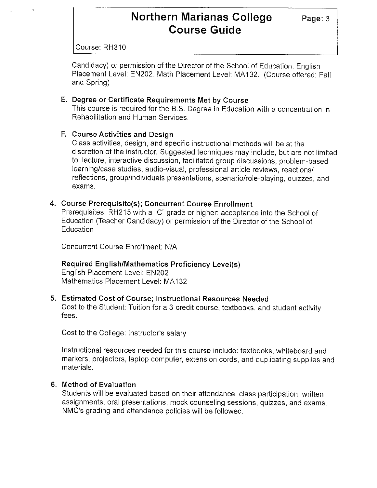Course: RH310

Candidacy) or permission of the Director of the School of Education. English Placement Level: EN202. Math Placement Level: MA132. (Course offered: Fall and Spring)

#### **E. Degree or Certificate Requirements Met by Course**

This course is required for the B.S. Degree in Education with a concentration in Rehabilitation and Human Services.

#### **F. Course Activities and Design**

Class activities, design, and specific instructional methods will be at the discretion of the instructor. Suggested techniques may include, but are not limited to: lecture, interactive discussion, facilitated group discussions, problem-based learning/case studies, audio-visual, professional article reviews, reactions/ reflections, group/individuals presentations, scenario/role-playing, quizzes, and exams.

#### **4. Course Prerequisite(s); Concurrent Course Enrollment**

Prerequisites: RH215 with a "C" grade or higher; acceptance into the School of Education (Teacher Candidacy) or permission of the Director of the School of Education

Concurrent Course Enrollment: N/A

### **Required English/Mathematics Proficiency Level(s)**

English Placement Level: EN202 Mathematics Placement Level: MA 132

#### **5. Estimated Cost of Course; Instructional Resources Needed**

Cost to the Student: Tuition for a 3-credit course, textbooks, and student activity fees.

Cost to the College: Instructor's salary

Instructional resources needed for this course include: textbooks, whiteboard and markers, projectors, laptop computer, extension cords, and duplicating supplies and materials.

#### **6. Method of Evaluation**

Students will be evaluated based on their attendance, class participation, written assignments, oral presentations, mock counseling sessions, quizzes, and exams. NMC's grading and attendance policies will be followed.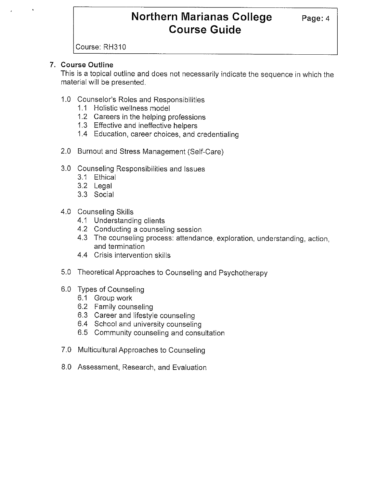Course: RH310

# **7. Course Outline**

This is a topical outline and does not necessarily indicate the sequence in which the material will be presented.

- 1.0 Counselor's Roles and Responsibilities
	- 1.1 Holistic wellness model
	- 1.2 Careers in the helping professions
	- 1.3 Effective and ineffective helpers
	- 1 .4 Education, career choices, and credentialing
- 2.0 Burnout and Stress Management (Self-Care)
- 3.0 Counseling Responsibilities and Issues
	- 3.1 Ethical
	- 3.2 Legal
	- 3.3 Social
- 4.0 Counseling Skills
	- 4.1 Understanding clients
	- 4.2 Conducting a counseling session
	- 4.3 The counseling process: attendance, exploration, understanding, action, and termination
	- 4.4 Crisis intervention skills
- 5.0 Theoretical Approaches to Counseling and Psychotherapy
- 6.0 Types of Counseling
	- 6.1 Group work
	- 6.2 Family counseling
	- 6.3 Career and lifestyle counseling
	- 6.4 School and university counseling
	- 6.5 Community counseling and consultation
- 7.0 Multicultural Approaches to Counseling
- 8.0 Assessment, Research, and Evaluation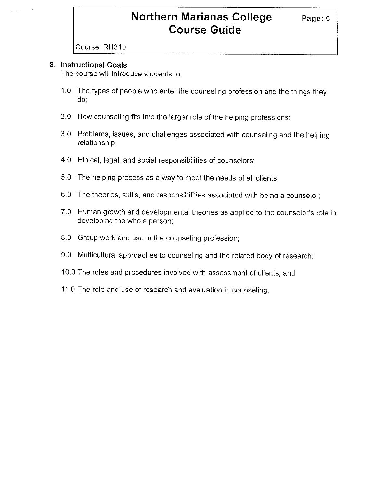Course: RH310

#### **8. Instructional Goals**

The course will introduce students to:

- 1.0 The types of people who enter the counseling profession and the things they do;
- 2.0 How counseling fits into the larger role of the helping professions;
- 3.0 Problems, issues, and challenges associated with counseling and the helping relationship;
- 4.0 Ethical, legal, and social responsibilities of counselors;
- 5.0 The helping process as a way to meet the needs of all clients;
- 6.0 The theories, skills, and responsibilities associated with being a counselor;
- 7.0 Human growth and developmental theories as applied to the counselor's role in developing the whole person;
- 8.0 Group work and use in the counseling profession;
- 9.0 Multicultural approaches to counseling and the related body of research;
- 10.0 The roles and procedures involved with assessment of clients; and
- 11.0 The role and use of research and evaluation in counseling.